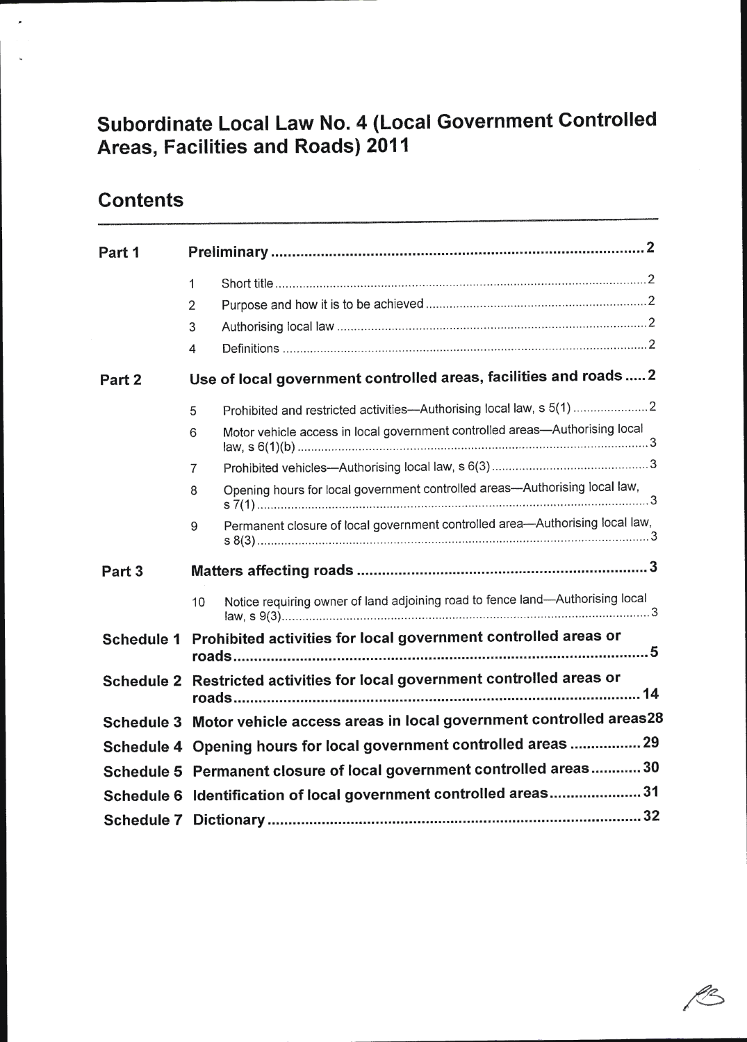# Subordinate Local Law No. 4 (Local Government Controlled Areas, Facilities and Roads) 2011

# **Contents**

 $\overline{\phantom{a}}$ 

| Part 1            |                                                                           |                                                                                                                                                                                                                                      |  |  |
|-------------------|---------------------------------------------------------------------------|--------------------------------------------------------------------------------------------------------------------------------------------------------------------------------------------------------------------------------------|--|--|
|                   | 1<br>$\overline{2}$<br>3<br>4                                             |                                                                                                                                                                                                                                      |  |  |
| Part <sub>2</sub> |                                                                           | Use of local government controlled areas, facilities and roads  2                                                                                                                                                                    |  |  |
|                   | 5<br>6<br>7<br>8                                                          | Prohibited and restricted activities--- Authorising local law, s 5(1) 2<br>Motor vehicle access in local government controlled areas-Authorising local<br>Opening hours for local government controlled areas-Authorising local law, |  |  |
|                   | 9                                                                         | Permanent closure of local government controlled area-Authorising local law,                                                                                                                                                         |  |  |
| Part <sub>3</sub> |                                                                           |                                                                                                                                                                                                                                      |  |  |
|                   | 10                                                                        | Notice requiring owner of land adjoining road to fence land-Authorising local                                                                                                                                                        |  |  |
| <b>Schedule 1</b> |                                                                           | Prohibited activities for local government controlled areas or                                                                                                                                                                       |  |  |
|                   | Schedule 2 Restricted activities for local government controlled areas or |                                                                                                                                                                                                                                      |  |  |
|                   |                                                                           | Schedule 3 Motor vehicle access areas in local government controlled areas28                                                                                                                                                         |  |  |
|                   | Schedule 4 Opening hours for local government controlled areas  29        |                                                                                                                                                                                                                                      |  |  |
|                   | Schedule 5 Permanent closure of local government controlled areas 30      |                                                                                                                                                                                                                                      |  |  |
|                   | Schedule 6 Identification of local government controlled areas31          |                                                                                                                                                                                                                                      |  |  |
|                   |                                                                           |                                                                                                                                                                                                                                      |  |  |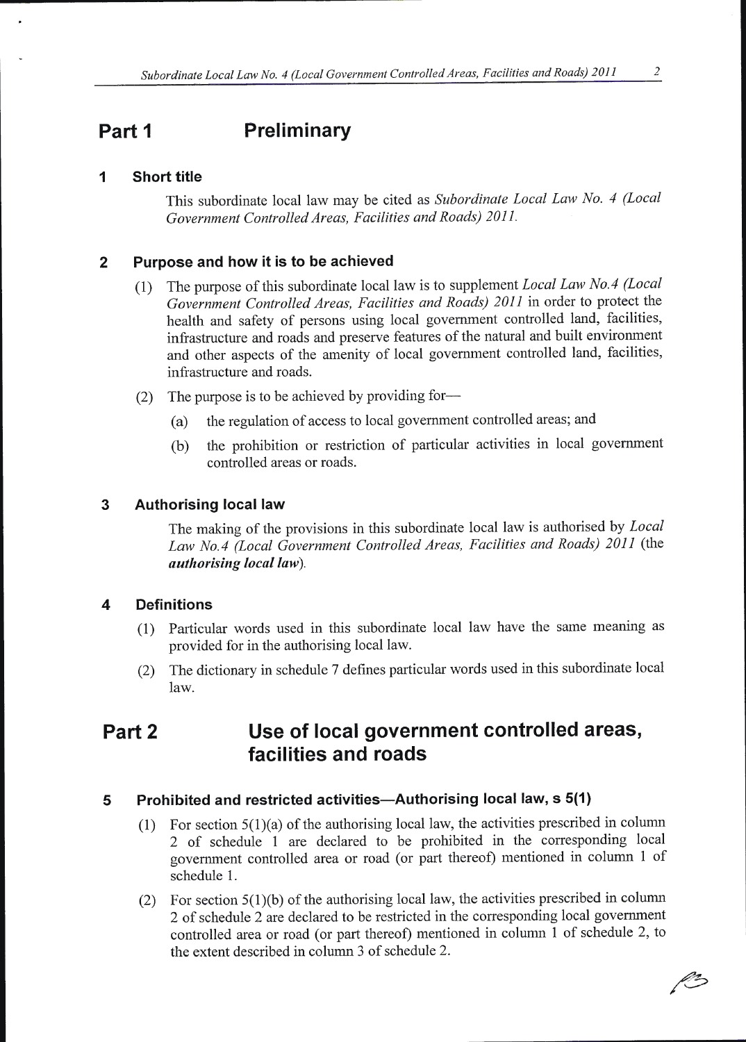## Part 1 Preliminary

### I Short title

This subordinate local law may be cited as Subordinate Local Law No. 4 (Local Government Controlled Areas, Facilities and Roads) 201I.

### 2 Purpose and how it is to be achieved

- (1) The purpose of this subordinate local law is to supplement *Local Law No.4 (Local*) Government Controlled Areas, Facilities and Roads) 2011 in order to protect the health and safety of persons using local govemment controlled land, facilities, infiastructure and roads and preserve features of the natural and built environment and other aspects of the amenity of local government controlled land, facilities, infrastructure and roads.
- (2) The purpose is to be achieved by providing for-
	- (a) the regulation of access to local government controlled areas; and
	- (b) the prohibition or restriction of particular activities in local government controlled areas or roads.

### 3 Authorising local law

The making of the provisions in this subordinate local law is authorised by Local Law No.4 (Local Government Controlled Areas, Facilities and Roads) 2011 (the authorising local law).

### 4 Definitions

- (1) Particular words used in this subordinate local law have the same meaning as provided for in the authorising local law.
- (2) The dictionary in schedule 7 defines particular words used in this subordinate local law.

## Part 2 Use of local government controlled areas, facilities and roads

#### 5 Prohibited and restricted activities—Authorising local law, s 5(1)

- (1) For section  $5(1)(a)$  of the authorising local law, the activities prescribed in column 2 of schedule I are declared to be prohibited in the corresponding local government controlled area or road (or part thereof) mentioned in column 1 of schedule 1.
- (2) For section  $5(1)(b)$  of the authorising local law, the activities prescribed in column 2 of schedule2 are declared to be restricted in the corresponding local govemment controlled area or road (or part thereof) mentioned in column I of schedule 2, to the extent described in column 3 of schedule 2.

Ke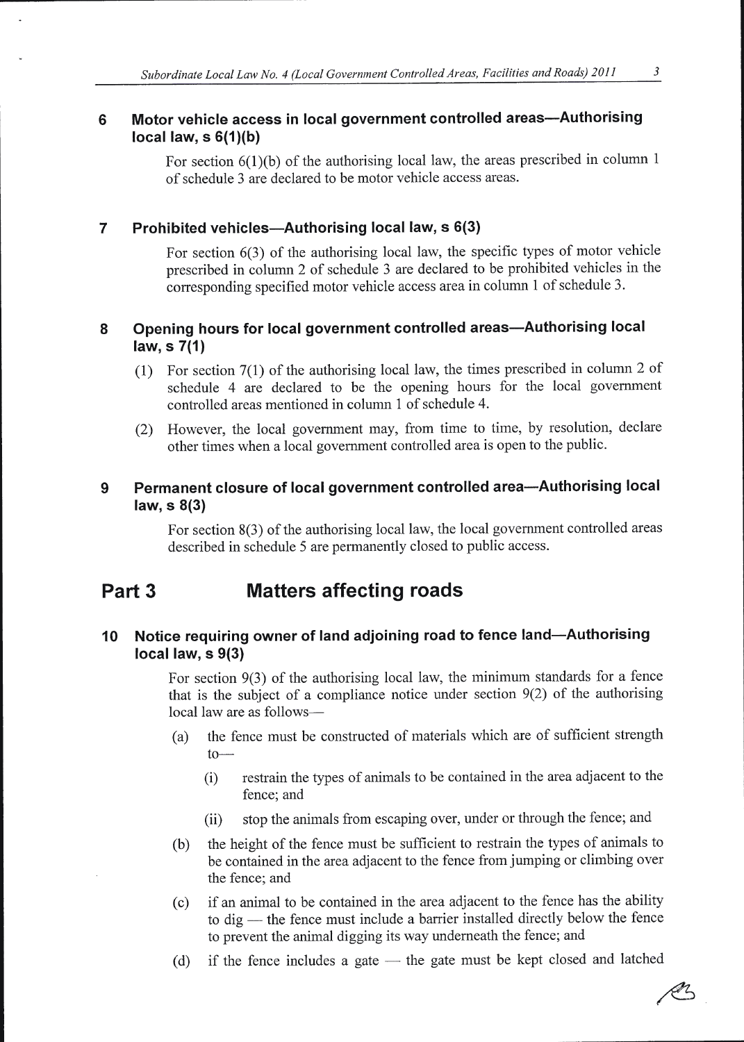#### Motor vehicle access in local government controlled areas-Authorising 6 local law,  $s 6(1)(b)$

For section  $6(1)(b)$  of the authorising local law, the areas prescribed in column 1 of schedule 3 are declared to be motor vehicle access areas.

#### Prohibited vehicles-Authorising local law, s 6(3)  $\overline{7}$

For section 6(3) of the authorising local law, the specific types of motor vehicle prescribed in column 2 of schedule 3 are declared to be prohibited vehicles in the corresponding specified motor vehicle access area in column I of schedule 3.

#### 8 Opening hours for local government controlled areas—Authorising local law, s 7(1)

- (l) For section 7(1) of the authorising local law, the times prescribed in column 2 of schedule 4 arc declared to be the opening hours for the local government controlled areas mentioned in column 1 of schedule 4.
- (2) However, the local government may, from time to time, by resolution, declare other times when a local government controlled area is open to the public.

#### 9 Permanent closure of local government controlled area-Authorising local law, s 8(3)

For section 8(3) of the authorising local law, the local govemment controlled areas described in schedule 5 are permanently closed to public access.

## Part 3 Matters affecting roads

### 10 Notice requiring owner of land adjoining road to fence land-Authorising local law, s 9(3)

For section 9(3) of the authorising local law, the minimum standards for a fence that is the subject of a compliance notice under section  $9(2)$  of the authorising local law are as follows-

- (a) the fence must be constructed of materials which are of sufficient strength  $to-$ 
	- (i) restrain the types of animals to be contained in the area adjacent to the fence; and
	- (ii) stop the animals from escaping over, under or through the fence; and
- (b) the height of the fence must be sufficient to restrain the types of animals to be contained in the area adjacent to the fence from jumping or climbing over the fence; and
- (c) if an animal to be contained in the area adjacent to the fence has the ability to dig — the fence must include a barrier installed directly below the fence to dig — the fence must include a barrier instance directly bet<br>to prevent the animal digging its way underneath the fence; and
- (d) if the fence includes a gate — the gate must be kept closed and latched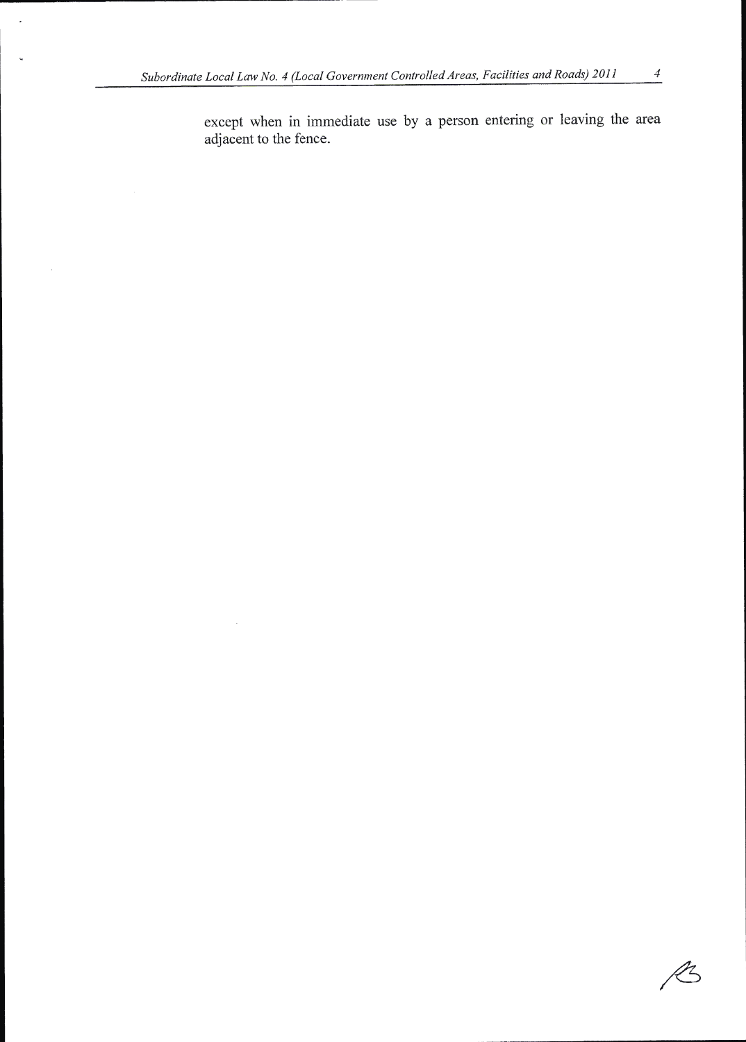$\overline{\phantom{a}}$ 

l.

 $\cdot$ 

except when in immediate use by a person entering or leaving the area adjacent to the fence.

 $\mathscr{L}$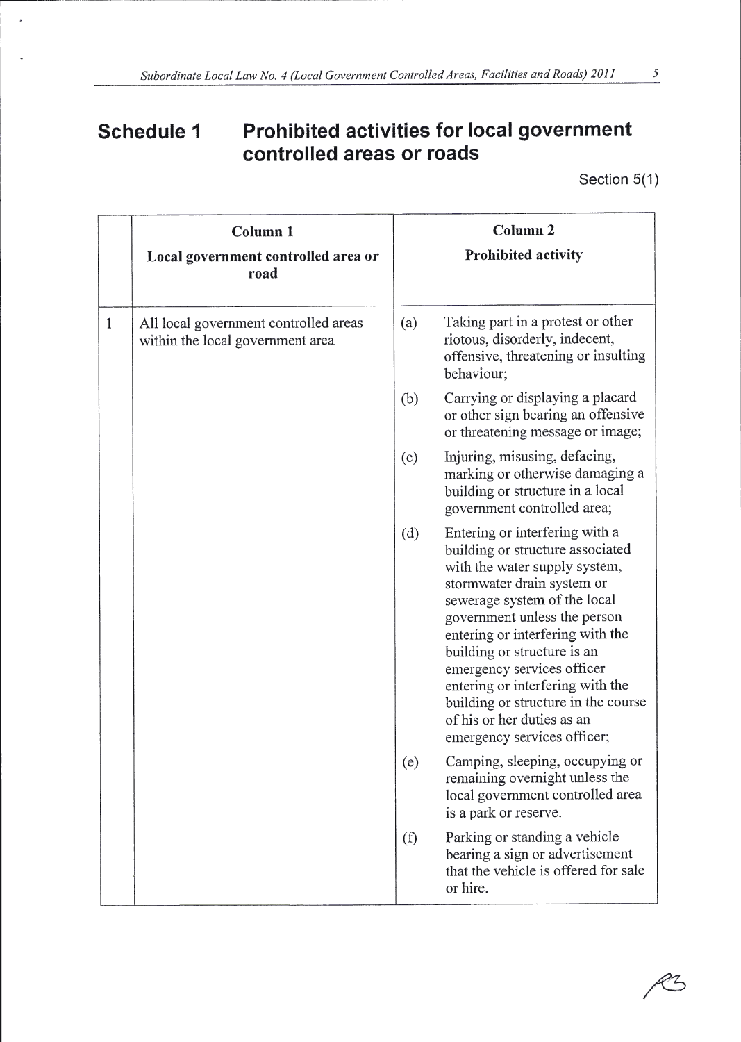# Schedule 1 Prohibited activities for local government controlled areas or roads

Section 5(1)

|              | Column <sub>1</sub><br>Local government controlled area or<br>road        |     | Column <sub>2</sub><br><b>Prohibited activity</b>                                                                                                                                                                                                                                                                                                                                                                                          |
|--------------|---------------------------------------------------------------------------|-----|--------------------------------------------------------------------------------------------------------------------------------------------------------------------------------------------------------------------------------------------------------------------------------------------------------------------------------------------------------------------------------------------------------------------------------------------|
| $\mathbf{1}$ | All local government controlled areas<br>within the local government area | (a) | Taking part in a protest or other<br>riotous, disorderly, indecent,<br>offensive, threatening or insulting<br>behaviour;                                                                                                                                                                                                                                                                                                                   |
|              |                                                                           | (b) | Carrying or displaying a placard<br>or other sign bearing an offensive<br>or threatening message or image;                                                                                                                                                                                                                                                                                                                                 |
|              |                                                                           | (c) | Injuring, misusing, defacing,<br>marking or otherwise damaging a<br>building or structure in a local<br>government controlled area;                                                                                                                                                                                                                                                                                                        |
|              |                                                                           | (d) | Entering or interfering with a<br>building or structure associated<br>with the water supply system,<br>stormwater drain system or<br>sewerage system of the local<br>government unless the person<br>entering or interfering with the<br>building or structure is an<br>emergency services officer<br>entering or interfering with the<br>building or structure in the course<br>of his or her duties as an<br>emergency services officer; |
|              |                                                                           | (e) | Camping, sleeping, occupying or<br>remaining overnight unless the<br>local government controlled area<br>is a park or reserve.                                                                                                                                                                                                                                                                                                             |
|              |                                                                           | (f) | Parking or standing a vehicle<br>bearing a sign or advertisement<br>that the vehicle is offered for sale<br>or hire.                                                                                                                                                                                                                                                                                                                       |

23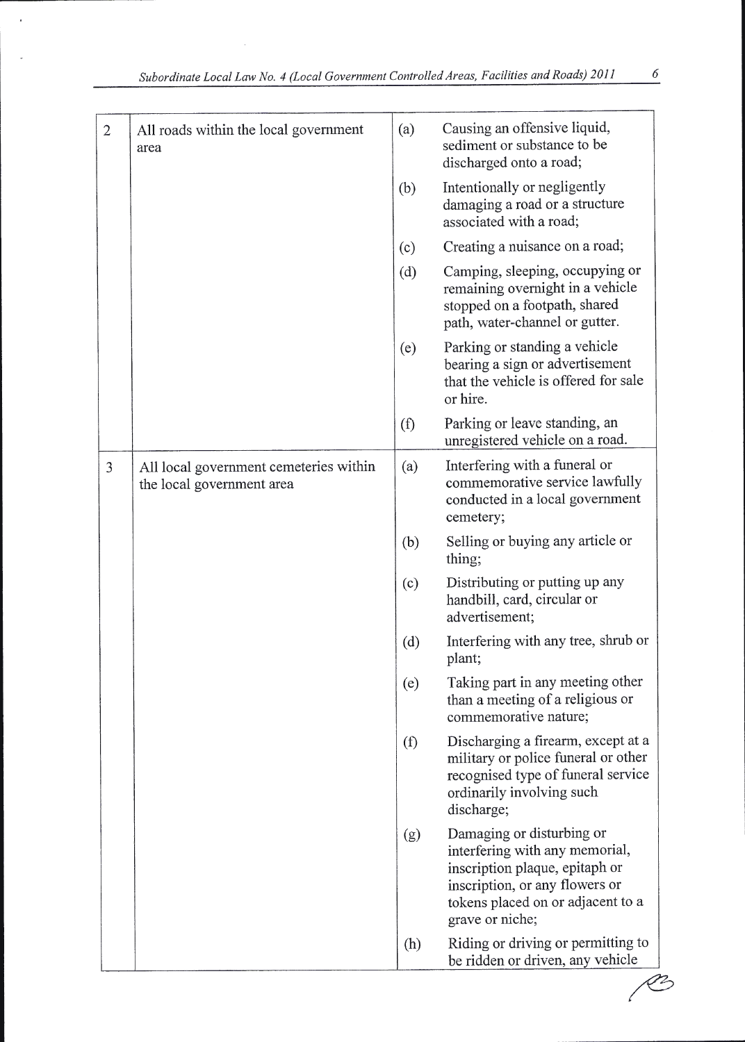$\bar{z}$ 

l,

| $\overline{2}$ | All roads within the local government<br>area                       | (a) | Causing an offensive liquid,<br>sediment or substance to be<br>discharged onto a road;                                                                                                  |
|----------------|---------------------------------------------------------------------|-----|-----------------------------------------------------------------------------------------------------------------------------------------------------------------------------------------|
|                |                                                                     | (b) | Intentionally or negligently<br>damaging a road or a structure<br>associated with a road;                                                                                               |
|                |                                                                     | (c) | Creating a nuisance on a road;                                                                                                                                                          |
|                |                                                                     | (d) | Camping, sleeping, occupying or<br>remaining overnight in a vehicle<br>stopped on a footpath, shared<br>path, water-channel or gutter.                                                  |
|                |                                                                     | (e) | Parking or standing a vehicle<br>bearing a sign or advertisement<br>that the vehicle is offered for sale<br>or hire.                                                                    |
|                |                                                                     | (f) | Parking or leave standing, an<br>unregistered vehicle on a road.                                                                                                                        |
| 3              | All local government cemeteries within<br>the local government area | (a) | Interfering with a funeral or<br>commemorative service lawfully<br>conducted in a local government<br>cemetery;                                                                         |
|                |                                                                     | (b) | Selling or buying any article or<br>thing;                                                                                                                                              |
|                |                                                                     | (c) | Distributing or putting up any<br>handbill, card, circular or<br>advertisement;                                                                                                         |
|                |                                                                     | (d) | Interfering with any tree, shrub or<br>plant;                                                                                                                                           |
|                |                                                                     | (e) | Taking part in any meeting other<br>than a meeting of a religious or<br>commemorative nature;                                                                                           |
|                |                                                                     | (f) | Discharging a firearm, except at a<br>military or police funeral or other<br>recognised type of funeral service<br>ordinarily involving such<br>discharge;                              |
|                |                                                                     | (g) | Damaging or disturbing or<br>interfering with any memorial,<br>inscription plaque, epitaph or<br>inscription, or any flowers or<br>tokens placed on or adjacent to a<br>grave or niche; |
|                |                                                                     | (h) | Riding or driving or permitting to<br>be ridden or driven, any vehicle                                                                                                                  |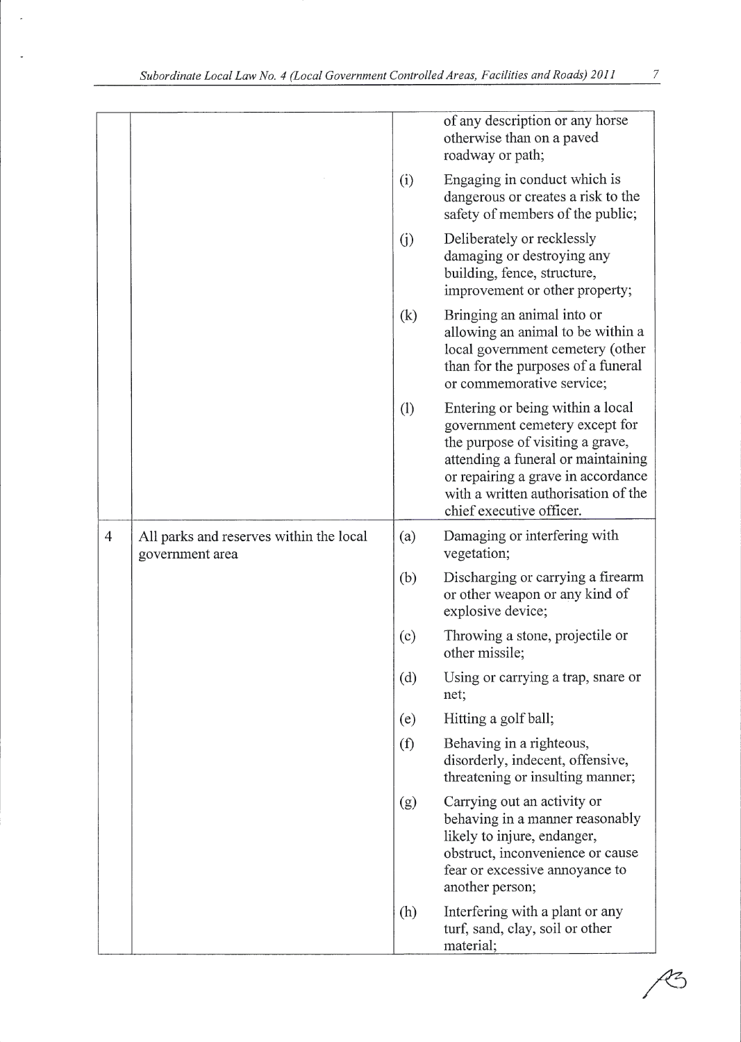|                |                                                            |     | of any description or any horse<br>otherwise than on a paved<br>roadway or path;                                                                                                                                                                      |
|----------------|------------------------------------------------------------|-----|-------------------------------------------------------------------------------------------------------------------------------------------------------------------------------------------------------------------------------------------------------|
|                |                                                            | (i) | Engaging in conduct which is<br>dangerous or creates a risk to the<br>safety of members of the public;                                                                                                                                                |
|                |                                                            | (i) | Deliberately or recklessly<br>damaging or destroying any<br>building, fence, structure,<br>improvement or other property;                                                                                                                             |
|                |                                                            | (k) | Bringing an animal into or<br>allowing an animal to be within a<br>local government cemetery (other<br>than for the purposes of a funeral<br>or commemorative service;                                                                                |
|                |                                                            | (1) | Entering or being within a local<br>government cemetery except for<br>the purpose of visiting a grave,<br>attending a funeral or maintaining<br>or repairing a grave in accordance<br>with a written authorisation of the<br>chief executive officer. |
| $\overline{4}$ | All parks and reserves within the local<br>government area | (a) | Damaging or interfering with<br>vegetation;                                                                                                                                                                                                           |
|                |                                                            | (b) | Discharging or carrying a firearm<br>or other weapon or any kind of<br>explosive device;                                                                                                                                                              |
|                |                                                            | (c) | Throwing a stone, projectile or<br>other missile;                                                                                                                                                                                                     |
|                |                                                            | (d) | Using or carrying a trap, snare or<br>net;                                                                                                                                                                                                            |
|                |                                                            | (e) | Hitting a golf ball;                                                                                                                                                                                                                                  |
|                |                                                            | (f) | Behaving in a righteous,<br>disorderly, indecent, offensive,<br>threatening or insulting manner;                                                                                                                                                      |
|                |                                                            | (g) | Carrying out an activity or<br>behaving in a manner reasonably<br>likely to injure, endanger,<br>obstruct, inconvenience or cause<br>fear or excessive annoyance to<br>another person;                                                                |
|                |                                                            | (h) | Interfering with a plant or any<br>turf, sand, clay, soil or other<br>material;                                                                                                                                                                       |

 $\frac{7}{2}$ 

 $\beta$